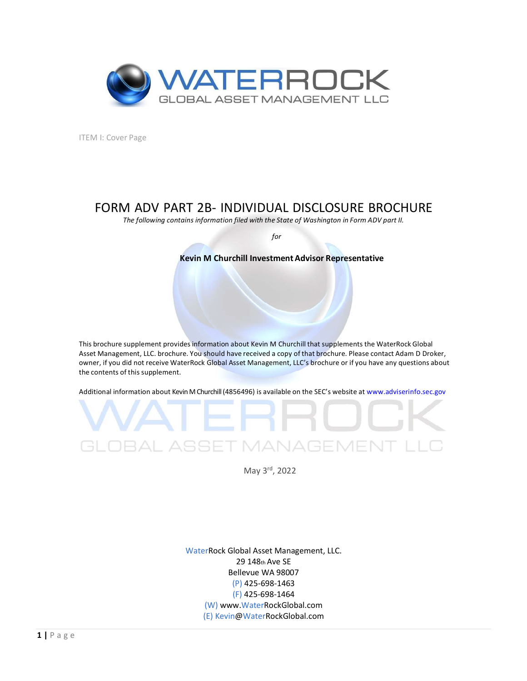

ITEM I: Cover Page

# FORM ADV PART 2B- INDIVIDUAL DISCLOSURE BROCHURE

The following contains information filed with the State of Washington in Form ADV part II.

for

## Kevin M Churchill Investment Advisor Representative

This brochure supplement providesinformation about Kevin M Churchill that supplements the WaterRock Global Asset Management, LLC. brochure. You should have received a copy of that brochure. Please contact Adam D Droker, owner, if you did not receive WaterRock Global Asset Management, LLC's brochure or if you have any questions about the contents of this supplement.

Additional information about Kevin M Churchill (4856496) is available on the SEC's website at www.adviserinfo.sec.gov



CLOBAL ASSET MANAGEM<br>
May 3<sup>rd</sup>, 2022<br>
WaterRock Global Asset Management, LLC.<br>
29 148<sub>th</sub> Ave SE<br>
Bellevue WA 98007<br>
(P) 425-698-1464<br>
(W) Www.WaterRockGlobal.com<br>
(E) kevin@WaterRockGlobal.com<br>
(E) kevin@WaterRockGlobal. WaterRock Global Asset Management, LLC. 29 148th Ave SE Bellevue WA 98007 (P) 425-698-1463 (F) 425-698-1464 (W) www.WaterRockGlobal.com (E) Kevin@WaterRockGlobal.com